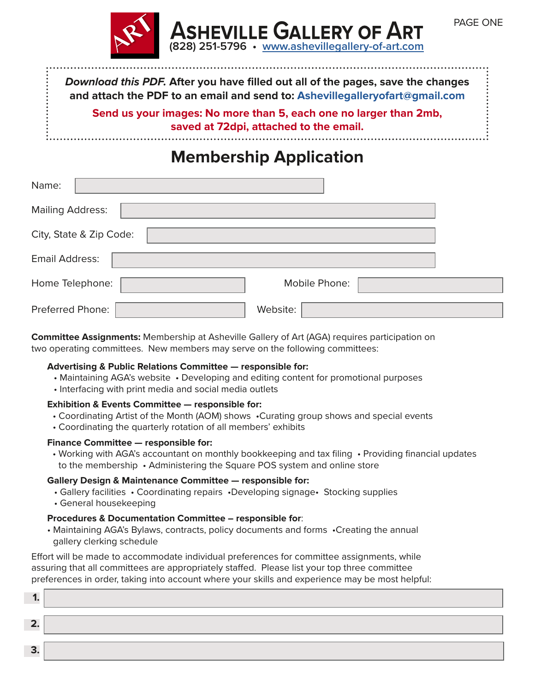

*Download this PDF.* **After you have filled out all of the pages, save the changes and attach the PDF to an email and send to: Ashevillegalleryofart@gmail.com**

**Send us your images: No more than 5, each one no larger than 2mb, saved at 72dpi, attached to the email.** 

### **Membership Application**

| Name:                   |               |  |  |
|-------------------------|---------------|--|--|
| <b>Mailing Address:</b> |               |  |  |
| City, State & Zip Code: |               |  |  |
| Email Address:          |               |  |  |
| Home Telephone:         | Mobile Phone: |  |  |
| Preferred Phone:        | Website:      |  |  |

**Committee Assignments:** Membership at Asheville Gallery of Art (AGA) requires participation on two operating committees. New members may serve on the following committees:

#### **Advertising & Public Relations Committee — responsible for:**

- Maintaining AGA's website Developing and editing content for promotional purposes
- Interfacing with print media and social media outlets

#### **Exhibition & Events Committee — responsible for:**

- Coordinating Artist of the Month (AOM) shows •Curating group shows and special events
- Coordinating the quarterly rotation of all members' exhibits

#### **Finance Committee — responsible for:**

• Working with AGA's accountant on monthly bookkeeping and tax filing • Providing financial updates to the membership • Administering the Square POS system and online store

#### **Gallery Design & Maintenance Committee — responsible for:**

- Gallery facilities Coordinating repairs •Developing signage• Stocking supplies
- General housekeeping

#### **Procedures & Documentation Committee – responsible for**:

• Maintaining AGA's Bylaws, contracts, policy documents and forms •Creating the annual gallery clerking schedule

Effort will be made to accommodate individual preferences for committee assignments, while assuring that all committees are appropriately staffed. Please list your top three committee preferences in order, taking into account where your skills and experience may be most helpful:

| $\overline{\phantom{a}}$ |  |
|--------------------------|--|
| ◚                        |  |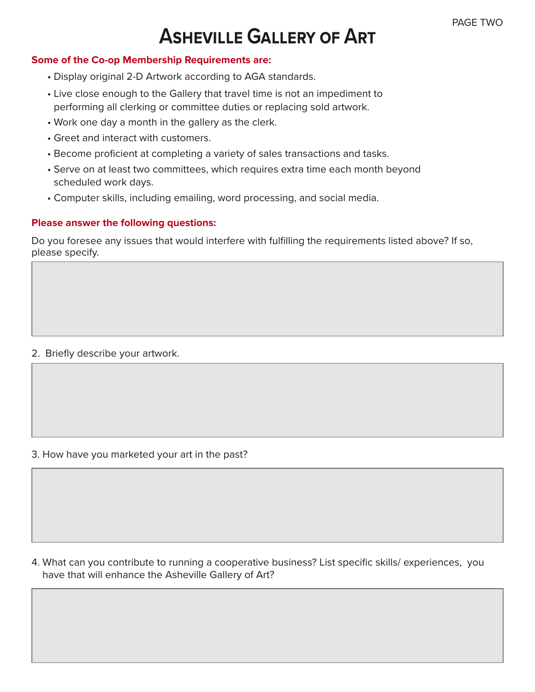# **ASHEVILLE GALLERY OF ART**

#### **Some of the Co-op Membership Requirements are:**

- Display original 2-D Artwork according to AGA standards.
- Live close enough to the Gallery that travel time is not an impediment to performing all clerking or committee duties or replacing sold artwork.
- Work one day a month in the gallery as the clerk.
- Greet and interact with customers.
- Become proficient at completing a variety of sales transactions and tasks.
- Serve on at least two committees, which requires extra time each month beyond scheduled work days.
- Computer skills, including emailing, word processing, and social media.

#### **Please answer the following questions:**

Do you foresee any issues that would interfere with fulfilling the requirements listed above? If so, please specify.

#### 2. Briefly describe your artwork.

#### 3. How have you marketed your art in the past?

4. What can you contribute to running a cooperative business? List specific skills/ experiences, you have that will enhance the Asheville Gallery of Art?